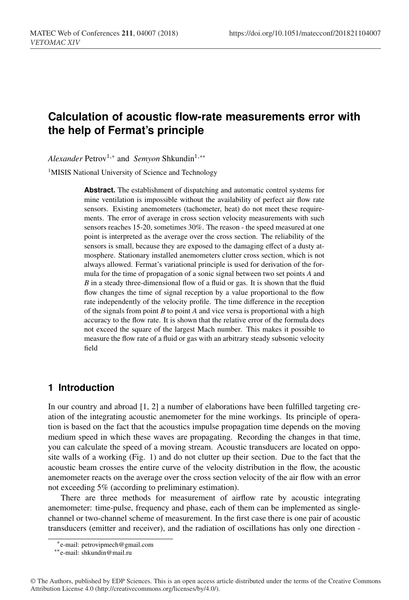# **Calculation of acoustic flow-rate measurements error with the help of Fermat's principle**

*Alexander* Petrov<sup>1,\*</sup> and *Semyon* Shkundin<sup>1,\*\*</sup>

<sup>1</sup>MISIS National University of Science and Technology

**Abstract.** The establishment of dispatching and automatic control systems for mine ventilation is impossible without the availability of perfect air flow rate sensors. Existing anemometers (tachometer, heat) do not meet these requirements. The error of average in cross section velocity measurements with such sensors reaches 15-20, sometimes 30%. The reason - the speed measured at one point is interpreted as the average over the cross section. The reliability of the sensors is small, because they are exposed to the damaging effect of a dusty atmosphere. Stationary installed anemometers clutter cross section, which is not always allowed. Fermat's variational principle is used for derivation of the formula for the time of propagation of a sonic signal between two set points *A* and *B* in a steady three-dimensional flow of a fluid or gas. It is shown that the fluid flow changes the time of signal reception by a value proportional to the flow rate independently of the velocity profile. The time difference in the reception of the signals from point *B* to point *A* and vice versa is proportional with a high accuracy to the flow rate. It is shown that the relative error of the formula does not exceed the square of the largest Mach number. This makes it possible to measure the flow rate of a fluid or gas with an arbitrary steady subsonic velocity field

# **1 Introduction**

In our country and abroad [1, 2] a number of elaborations have been fulfilled targeting creation of the integrating acoustic anemometer for the mine workings. Its principle of operation is based on the fact that the acoustics impulse propagation time depends on the moving medium speed in which these waves are propagating. Recording the changes in that time, you can calculate the speed of a moving stream. Acoustic transducers are located on opposite walls of a working (Fig. 1) and do not clutter up their section. Due to the fact that the acoustic beam crosses the entire curve of the velocity distribution in the flow, the acoustic anemometer reacts on the average over the cross section velocity of the air flow with an error not exceeding 5% (according to preliminary estimation).

There are three methods for measurement of airflow rate by acoustic integrating anemometer: time-pulse, frequency and phase, each of them can be implemented as singlechannel or two-channel scheme of measurement. In the first case there is one pair of acoustic transducers (emitter and receiver), and the radiation of oscillations has only one direction -

<sup>∗</sup>e-mail: petrovipmech@gmail.com

<sup>∗∗</sup>e-mail: shkundin@mail.ru

<sup>©</sup> The Authors, published by EDP Sciences. This is an open access article distributed under the terms of the Creative Commons Attribution License 4.0 (http://creativecommons.org/licenses/by/4.0/).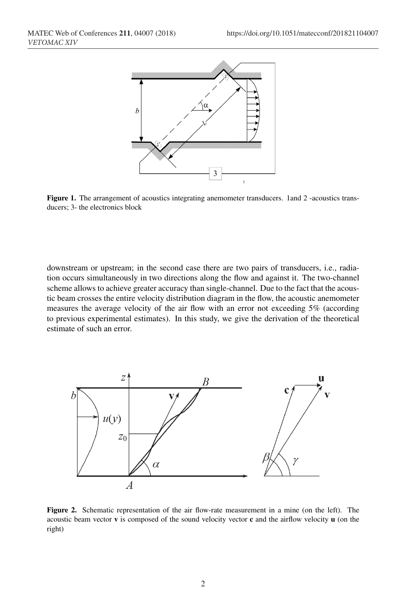

Figure 1. The arrangement of acoustics integrating anemometer transducers. 1and 2 -acoustics transducers; 3- the electronics block

downstream or upstream; in the second case there are two pairs of transducers, i.e., radiation occurs simultaneously in two directions along the flow and against it. The two-channel scheme allows to achieve greater accuracy than single-channel. Due to the fact that the acoustic beam crosses the entire velocity distribution diagram in the flow, the acoustic anemometer measures the average velocity of the air flow with an error not exceeding 5% (according to previous experimental estimates). In this study, we give the derivation of the theoretical estimate of such an error.



Figure 2. Schematic representation of the air flow-rate measurement in a mine (on the left). The acoustic beam vector  $\bf{v}$  is composed of the sound velocity vector  $\bf{c}$  and the airflow velocity  $\bf{u}$  (on the right)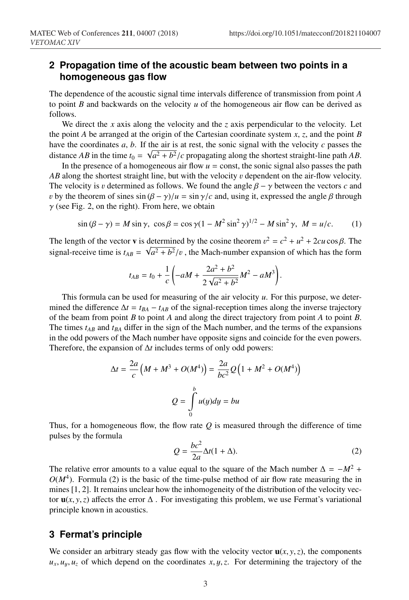# **2 Propagation time of the acoustic beam between two points in a homogeneous gas flow**

The dependence of the acoustic signal time intervals difference of transmission from point *A* to point *B* and backwards on the velocity *u* of the homogeneous air flow can be derived as follows.

We direct the *x* axis along the velocity and the *z* axis perpendicular to the velocity. Let the point *A* be arranged at the origin of the Cartesian coordinate system *x*, *z*, and the point *B* have the coordinates  $a, b$ . If the air is at rest, the sonic signal with the velocity  $c$  passes the distance *AB* in the time  $t_0 = \sqrt{a^2 + b^2}/c$  propagating along the shortest straight-line path *AB*.

In the presence of a homogeneous air flow  $u =$  const, the sonic signal also passes the path *AB* along the shortest straight line, but with the velocity v dependent on the air-flow velocity. The velocity is v determined as follows. We found the angle  $\beta - \gamma$  between the vectors c and *v* by the theorem of sines  $\sin(\beta - \gamma)/u = \sin(\gamma/c)$  and, using it, expressed the angle  $\beta$  through  $\gamma$  (see Fig. 2, on the right). From here, we obtain

$$
\sin(\beta - \gamma) = M \sin \gamma, \ \cos \beta = \cos \gamma (1 - M^2 \sin^2 \gamma)^{1/2} - M \sin^2 \gamma, \ M = u/c. \tag{1}
$$

The length of the vector **v** is determined by the cosine theorem  $v^2 = c^2 + u^2 + 2cu \cos \beta$ . The signal-receive time is  $t_{AB} = \sqrt{a^2 + b^2}/v$ , the Mach-number expansion of which has the form

$$
t_{AB} = t_0 + \frac{1}{c} \left( -aM + \frac{2a^2 + b^2}{2\sqrt{a^2 + b^2}} M^2 - aM^3 \right).
$$

This formula can be used for measuring of the air velocity *u*. For this purpose, we determined the difference  $\Delta t = t_{BA} - t_{AB}$  of the signal-reception times along the inverse trajectory of the beam from point *B* to point *A* and along the direct trajectory from point *A* to point *B*. The times  $t_{AB}$  and  $t_{BA}$  differ in the sign of the Mach number, and the terms of the expansions in the odd powers of the Mach number have opposite signs and coincide for the even powers. Therefore, the expansion of ∆*t* includes terms of only odd powers:

$$
\Delta t = \frac{2a}{c} \left( M + M^3 + O(M^4) \right) = \frac{2a}{bc^2} Q \left( 1 + M^2 + O(M^4) \right)
$$

$$
Q = \int_0^b u(y) dy = bu
$$

Thus, for a homogeneous flow, the flow rate *Q* is measured through the difference of time pulses by the formula

$$
Q = \frac{bc^2}{2a}\Delta t (1 + \Delta). \tag{2}
$$

The relative error amounts to a value equal to the square of the Mach number  $\Delta = -M^2 +$  $O(M<sup>4</sup>)$ . Formula (2) is the basic of the time-pulse method of air flow rate measuring the in mines [1, 2]. It remains unclear how the inhomogeneity of the distribution of the velocity vector  $\mathbf{u}(x, y, z)$  affects the error  $\Delta$ . For investigating this problem, we use Fermat's variational principle known in acoustics.

## **3 Fermat's principle**

We consider an arbitrary steady gas flow with the velocity vector  $\mathbf{u}(x, y, z)$ , the components  $u_x$ ,  $u_y$ ,  $u_z$  of which depend on the coordinates *x*, y, *z*. For determining the trajectory of the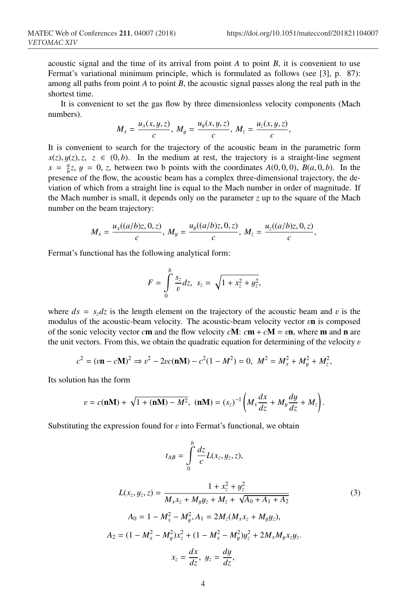acoustic signal and the time of its arrival from point *A* to point *B*, it is convenient to use Fermat's variational minimum principle, which is formulated as follows (see [3], p. 87): among all paths from point *A* to point *B*, the acoustic signal passes along the real path in the shortest time.

It is convenient to set the gas flow by three dimensionless velocity components (Mach numbers).

$$
M_x = \frac{u_x(x, y, z)}{c}
$$
,  $M_y = \frac{u_y(x, y, z)}{c}$ ,  $M_z = \frac{u_z(x, y, z)}{c}$ ,

It is convenient to search for the trajectory of the acoustic beam in the parametric form  $x(z)$ ,  $y(z)$ ,  $z$ ,  $z \in (0, b)$ . In the medium at rest, the trajectory is a straight-line segment  $x = \frac{a}{b}z$ ,  $y = 0$ , *z*, between two b points with the coordinates  $A(0, 0, 0)$ ,  $B(a, 0, b)$ . In the presence of the flow, the acoustic beam has a complex three-dimensional trajectory, the deviation of which from a straight line is equal to the Mach number in order of magnitude. If the Mach number is small, it depends only on the parameter  $z$  up to the square of the Mach number on the beam trajectory:

$$
M_x = \frac{u_x((a/b)z, 0, z)}{c}, M_y = \frac{u_y((a/b)z, 0, z)}{c}, M_z = \frac{u_z((a/b)z, 0, z)}{c},
$$

Fermat's functional has the following analytical form:

$$
F = \int_{0}^{b} \frac{s_z}{v} dz, \ s_z = \sqrt{1 + x_z^2 + y_z^2},
$$

where  $ds = s<sub>z</sub> dz$  is the length element on the trajectory of the acoustic beam and v is the modulus of the acoustic-beam velocity. The acoustic-beam velocity vector  $v$ n is composed of the sonic velocity vector *c*m and the flow velocity  $cM$ :  $c m + cM = v n$ , where m and n are the unit vectors. From this, we obtain the quadratic equation for determining of the velocity  $v$ 

$$
c^{2} = (v\mathbf{n} - c\mathbf{M})^{2} \Rightarrow v^{2} - 2vc(\mathbf{nM}) - c^{2}(1 - M^{2}) = 0, \ M^{2} = M_{x}^{2} + M_{y}^{2} + M_{z}^{2},
$$

Its solution has the form

$$
v = c(\mathbf{nM}) + \sqrt{1 + (\mathbf{nM}) - M^2}, \quad (\mathbf{nM}) = (s_z)^{-1} \left( M_x \frac{dx}{dz} + M_y \frac{dy}{dz} + M_z \right).
$$

Substituting the expression found for  $v$  into Fermat's functional, we obtain

$$
t_{AB} = \int_{0}^{b} \frac{dz}{c} L(x_z, y_z, z),
$$
  
\n
$$
L(x_z, y_z, z) = \frac{1 + x_z^2 + y_z^2}{M_x x_z + M_y y_z + M_z + \sqrt{A_0 + A_1 + A_2}}
$$
  
\n
$$
A_0 = 1 - M_x^2 - M_y^2, A_1 = 2M_z(M_x x_z + M_y y_z),
$$
  
\n
$$
A_2 = (1 - M_x^2 - M_y^2)x_z^2 + (1 - M_x^2 - M_y^2)y_z^2 + 2M_x M_y x_z y_z.
$$
  
\n
$$
x_z = \frac{dx}{dz}, y_z = \frac{dy}{dz},
$$
  
\n(3)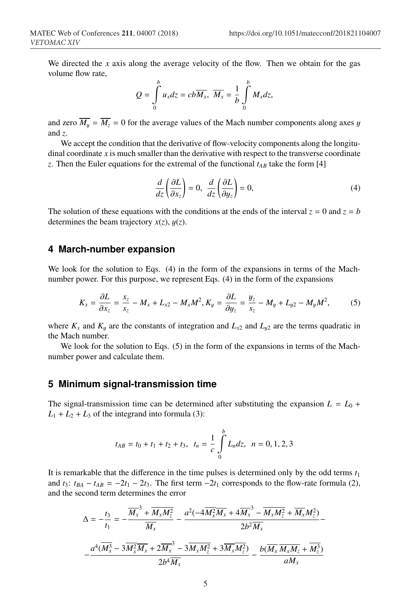We directed the  $x$  axis along the average velocity of the flow. Then we obtain for the gas volume flow rate,

$$
Q = \int\limits_0^b u_x dz = cb\overline{M_x}, \ \overline{M_x} = \frac{1}{b} \int\limits_0^b M_x dz,
$$

and zero  $\overline{M_y} = \overline{M_z} = 0$  for the average values of the Mach number components along axes y and *z*.

We accept the condition that the derivative of flow-velocity components along the longitudinal coordinate *x* is much smaller than the derivative with respect to the transverse coordinate *z*. Then the Euler equations for the extremal of the functional  $t_{AB}$  take the form [4]

$$
\frac{d}{dz}\left(\frac{\partial L}{\partial x_z}\right) = 0, \quad \frac{d}{dz}\left(\frac{\partial L}{\partial y_z}\right) = 0,\tag{4}
$$

The solution of these equations with the conditions at the ends of the interval  $z = 0$  and  $z = b$ determines the beam trajectory  $x(z)$ ,  $y(z)$ .

#### **4 March-number expansion**

We look for the solution to Eqs. (4) in the form of the expansions in terms of the Machnumber power. For this purpose, we represent Eqs. (4) in the form of the expansions

$$
K_x = \frac{\partial L}{\partial x_z} = \frac{x_z}{s_z} - M_x + L_{x2} - M_x M^2, K_y = \frac{\partial L}{\partial y_z} = \frac{y_z}{s_z} - M_y + L_{y2} - M_y M^2,
$$
 (5)

where  $K_x$  and  $K_y$  are the constants of integration and  $L_{x2}$  and  $L_{y2}$  are the terms quadratic in the Mach number.

We look for the solution to Eqs. (5) in the form of the expansions in terms of the Machnumber power and calculate them.

#### **5 Minimum signal-transmission time**

The signal-transmission time can be determined after substituting the expansion  $L = L_0 + L_1$  $L_1 + L_2 + L_3$  of the integrand into formula (3):

$$
t_{AB} = t_0 + t_1 + t_2 + t_3, \quad t_n = \frac{1}{c} \int_0^b L_n dz, \quad n = 0, 1, 2, 3
$$

It is remarkable that the difference in the time pulses is determined only by the odd terms  $t_1$ and  $t_3$ :  $t_{BA} - t_{AB} = -2t_1 - 2t_3$ . The first term  $-2t_1$  corresponds to the flow-rate formula (2), and the second term determines the error

$$
\Delta = -\frac{t_3}{t_1} = -\frac{\overline{M_x}^3 + \overline{M_x M_z^2}}{\overline{M_x}} - \frac{a^2(-4\overline{M_x^2 M_x} + 4\overline{M_x}^3 - \overline{M_x M_z^2} + \overline{M_x M_z^2})}{2b^2 \overline{M_x}} - \frac{a^4(\overline{M_x^3} - 3\overline{M_x^2 M_x} + 2\overline{M_x}^3 - 3\overline{M_x M_z^2} + 3\overline{M_x M_z^2})}{2b^4 \overline{M_x}} - \frac{b(\overline{M_x} \overline{M_x M_z} + \overline{M_z^3})}{aM_x}
$$